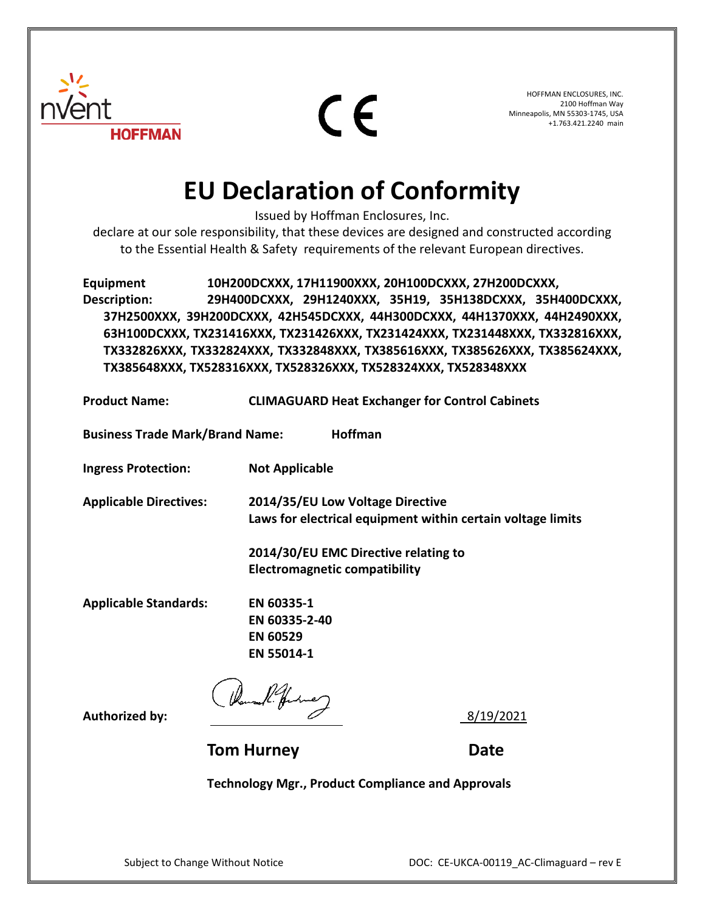

 $\epsilon$ 

HOFFMAN ENCLOSURES, INC. 2100 Hoffman Way Minneapolis, MN 55303-1745, USA +1.763.421.2240 main

## **EU Declaration of Conformity**

Issued by Hoffman Enclosures, Inc.

declare at our sole responsibility, that these devices are designed and constructed according to the Essential Health & Safety requirements of the relevant European directives.

**Equipment 10H200DCXXX, 17H11900XXX, 20H100DCXXX, 27H200DCXXX, Description: 29H400DCXXX, 29H1240XXX, 35H19, 35H138DCXXX, 35H400DCXXX, 37H2500XXX, 39H200DCXXX, 42H545DCXXX, 44H300DCXXX, 44H1370XXX, 44H2490XXX, 63H100DCXXX, TX231416XXX, TX231426XXX, TX231424XXX, TX231448XXX, TX332816XXX, TX332826XXX, TX332824XXX, TX332848XXX, TX385616XXX, TX385626XXX, TX385624XXX, TX385648XXX, TX528316XXX, TX528326XXX, TX528324XXX, TX528348XXX**

| <b>Product Name:</b>                   | <b>CLIMAGUARD Heat Exchanger for Control Cabinets</b>                                                                                   |
|----------------------------------------|-----------------------------------------------------------------------------------------------------------------------------------------|
| <b>Business Trade Mark/Brand Name:</b> | Hoffman                                                                                                                                 |
| <b>Ingress Protection:</b>             | <b>Not Applicable</b>                                                                                                                   |
| <b>Applicable Directives:</b>          | 2014/35/EU Low Voltage Directive<br>Laws for electrical equipment within certain voltage limits<br>2014/30/EU EMC Directive relating to |
|                                        | <b>Electromagnetic compatibility</b>                                                                                                    |
| <b>Applicable Standards:</b>           | EN 60335-1<br>EN 60335-2-40<br><b>EN 60529</b><br>EN 55014-1                                                                            |
|                                        |                                                                                                                                         |

**Authorized by:**  $\sim$  8/19/2021

**Tom Hurney Communication Communication Communication Date** 

**Technology Mgr., Product Compliance and Approvals**